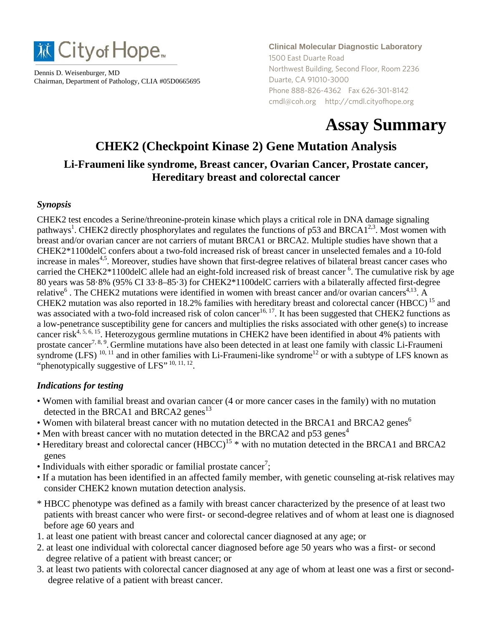

Dennis D. Weisenburger, MD Chairman, Department of Pathology, CLIA #05D0665695 **Clinical Molecular Diagnostic Laboratory** 1500 East Duarte Road Northwest Building, Second Floor, Room 2236 Duarte, CA 91010-3000 Phone 888-826-4362 Fax 626-301-8142 cmdl@coh.org http://cmdl.cityofhope.org

# **Assay Summary**

# **CHEK2 (Checkpoint Kinase 2) Gene Mutation Analysis Li-Fraumeni like syndrome, Breast cancer, Ovarian Cancer, Prostate cancer, Hereditary breast and colorectal cancer**

#### *Synopsis*

CHEK2 test encodes a Serine/threonine-protein kinase which plays a critical role in DNA damage signaling pathways<sup>1</sup>. CHEK2 directly phosphorylates and regulates the functions of p53 and BRCA1<sup>2,3</sup>. Most women with breast and/or ovarian cancer are not carriers of mutant BRCA1 or BRCA2. Multiple studies have shown that a CHEK2\*1100delC confers about a two-fold increased risk of breast cancer in unselected females and a 10-fold increase in males<sup>4,5</sup>. Moreover, studies have shown that first-degree relatives of bilateral breast cancer cases who carried the CHEK2\*1100delC allele had an eight-fold increased risk of breast cancer <sup>6</sup>. The cumulative risk by age 80 years was 58·8% (95% CI 33·8–85·3) for CHEK2\*1100delC carriers with a bilaterally affected first-degree relative<sup>6</sup>. The CHEK2 mutations were identified in women with breast cancer and/or ovarian cancers<sup>4,13</sup>. A CHEK2 mutation was also reported in 18.2% families with hereditary breast and colorectal cancer (HBCC) 15 and was associated with a two-fold increased risk of colon cancer<sup>16, 17</sup>. It has been suggested that CHEK2 functions as a low-penetrance susceptibility gene for cancers and multiplies the risks associated with other gene(s) to increase cancer risk<sup>4, 5, 6, 15</sup>. Heterozygous germline mutations in CHEK2 have been identified in about 4% patients with prostate cancer<sup>7, 8, 9</sup>. Germline mutations have also been detected in at least one family with classic Li-Fraumeni syndrome  $(LFS)^{10, 11}$  and in other families with Li-Fraumeni-like syndrome<sup>12</sup> or with a subtype of LFS known as "phenotypically suggestive of LFS" 10, 11, 12.

#### *Indications for testing*

- Women with familial breast and ovarian cancer (4 or more cancer cases in the family) with no mutation detected in the BRCA1 and BRCA2 genes<sup>13</sup>
- Women with bilateral breast cancer with no mutation detected in the BRCA1 and BRCA2 genes<sup>6</sup>
- Men with breast cancer with no mutation detected in the BRCA2 and  $p53$  genes<sup>4</sup>
- Hereditary breast and colorectal cancer  $(HBCC)^{15}$  \* with no mutation detected in the BRCA1 and BRCA2 genes
- $\bullet$  Individuals with either sporadic or familial prostate cancer<sup>7</sup>;
- If a mutation has been identified in an affected family member, with genetic counseling at-risk relatives may consider CHEK2 known mutation detection analysis.
- \* HBCC phenotype was defined as a family with breast cancer characterized by the presence of at least two patients with breast cancer who were first- or second-degree relatives and of whom at least one is diagnosed before age 60 years and
- 1. at least one patient with breast cancer and colorectal cancer diagnosed at any age; or
- 2. at least one individual with colorectal cancer diagnosed before age 50 years who was a first- or second degree relative of a patient with breast cancer; or
- 3. at least two patients with colorectal cancer diagnosed at any age of whom at least one was a first or seconddegree relative of a patient with breast cancer.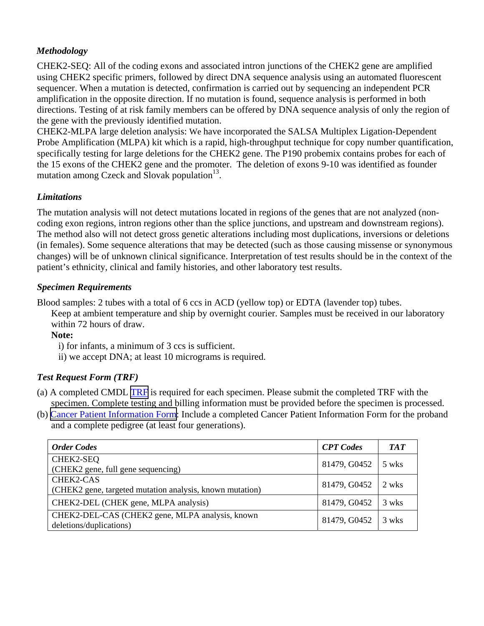## *Methodology*

CHEK2-SEQ: All of the coding exons and associated intron junctions of the CHEK2 gene are amplified using CHEK2 specific primers, followed by direct DNA sequence analysis using an automated fluorescent sequencer. When a mutation is detected, confirmation is carried out by sequencing an independent PCR amplification in the opposite direction. If no mutation is found, sequence analysis is performed in both directions. Testing of at risk family members can be offered by DNA sequence analysis of only the region of the gene with the previously identified mutation.

CHEK2-MLPA large deletion analysis: We have incorporated the SALSA Multiplex Ligation-Dependent Probe Amplification (MLPA) kit which is a rapid, high-throughput technique for copy number quantification, specifically testing for large deletions for the CHEK2 gene. The P190 probemix contains probes for each of the 15 exons of the CHEK2 gene and the promoter. The deletion of exons 9-10 was identified as founder mutation among Czeck and Slovak population $13$ .

#### *Limitations*

The mutation analysis will not detect mutations located in regions of the genes that are not analyzed (noncoding exon regions, intron regions other than the splice junctions, and upstream and downstream regions). The method also will not detect gross genetic alterations including most duplications, inversions or deletions (in females). Some sequence alterations that may be detected (such as those causing missense or synonymous changes) will be of unknown clinical significance. Interpretation of test results should be in the context of the patient's ethnicity, clinical and family histories, and other laboratory test results.

## *Specimen Requirements*

Blood samples: 2 tubes with a total of 6 ccs in ACD (yellow top) or EDTA (lavender top) tubes.

Keep at ambient temperature and ship by overnight courier. Samples must be received in our laboratory within 72 hours of draw.

**Note:** 

i) for infants, a minimum of 3 ccs is sufficient.

ii) we accept DNA; at least 10 micrograms is required.

# *Test Request Form (TRF)*

- (a) A completed CMDL [TRF](\\bri-net\Mol Medicine\cmdl grp\CMDL Web 2009 (After move to NorthWest)\PDF version) is required for each specimen. Please submit the completed TRF with the specimen. Complete testing and billing information must be provided before the specimen is processed.
- (b) [Cancer Patient Information Form](\\bri-net\Mol Medicine\cmdl grp\CMDL Web 2009 (After move to NorthWest)\PDF version): Include a completed Cancer Patient Information Form for the proband and a complete pedigree (at least four generations).

| <b>Order Codes</b>                                                         | <b>CPT</b> Codes | TAT   |
|----------------------------------------------------------------------------|------------------|-------|
| CHEK2-SEQ<br>(CHEK2 gene, full gene sequencing)                            | 81479, G0452     | 5 wks |
| CHEK2-CAS<br>(CHEK2 gene, targeted mutation analysis, known mutation)      | 81479, G0452     | 2 wks |
| CHEK2-DEL (CHEK gene, MLPA analysis)                                       | 81479, G0452     | 3 wks |
| CHEK2-DEL-CAS (CHEK2 gene, MLPA analysis, known<br>deletions/duplications) | 81479, G0452     | 3 wks |